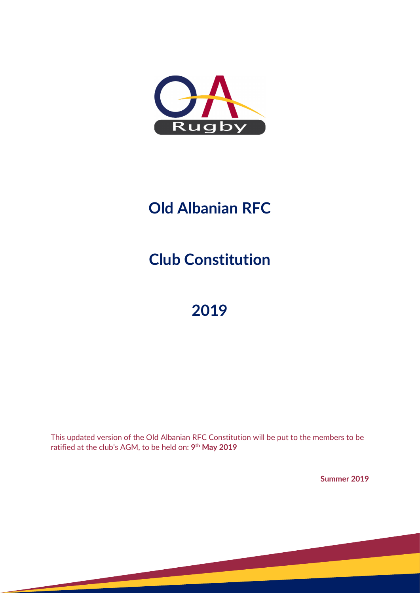

# **Old Albanian RFC**

**Club Constitution**

# **2019**

This updated version of the Old Albanian RFC Constitution will be put to the members to be ratified at the club's AGM, to be held on: **9th May 2019**

**Summer 2019**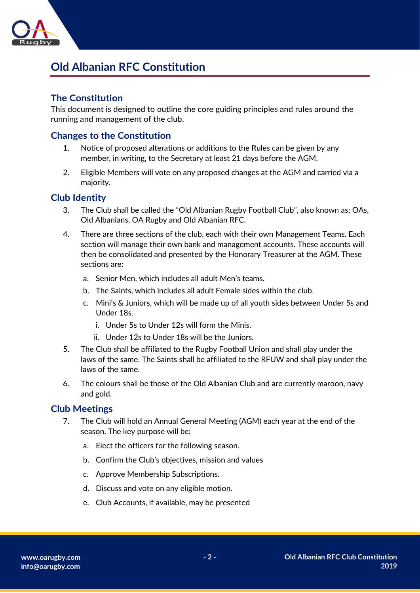

# **Old Albanian RFC Constitution**

### **The Constitution**

This document is designed to outline the core guiding principles and rules around the running and management of the club.

### **Changes to the Constitution**

- 1. Notice of proposed alterations or additions to the Rules can be given by any member, in writing, to the Secretary at least 21 days before the AGM.
- 2. Eligible Members will vote on any proposed changes at the AGM and carried via a majority.

#### **Club Identity**

- 3. The Club shall be called the "Old Albanian Rugby Football Club", also known as; OAs, Old Albanians, OA Rugby and Old Albanian RFC.
- 4. There are three sections of the club, each with their own Management Teams. Each section will manage their own bank and management accounts. These accounts will then be consolidated and presented by the Honorary Treasurer at the AGM. These sections are:
	- a. Senior Men, which includes all adult Men's teams.
	- b. The Saints, which includes all adult Female sides within the club.
	- c. Mini's & Juniors, which will be made up of all youth sides between Under 5s and Under 18s.
		- i. Under 5s to Under 12s will form the Minis.
		- ii. Under 12s to Under 18s will be the Juniors.
- 5. The Club shall be affiliated to the Rugby Football Union and shall play under the laws of the same. The Saints shall be affiliated to the RFUW and shall play under the laws of the same.
- 6. The colours shall be those of the Old Albanian Club and are currently maroon, navy and gold.

#### **Club Meetings**

- 7. The Club will hold an Annual General Meeting (AGM) each year at the end of the season. The key purpose will be:
	- a. Elect the officers for the following season.
	- b. Confirm the Club's objectives, mission and values
	- c. Approve Membership Subscriptions.
	- d. Discuss and vote on any eligible motion.
	- e. Club Accounts, if available, may be presented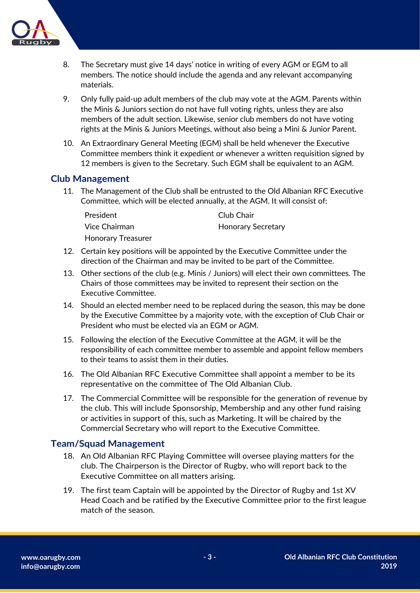

- 8. The Secretary must give 14 days' notice in writing of every AGM or EGM to all members. The notice should include the agenda and any relevant accompanying materials.
- 9. Only fully paid-up adult members of the club may vote at the AGM. Parents within the Minis & Juniors section do not have full voting rights, unless they are also members of the adult section. Likewise, senior club members do not have voting rights at the Minis & Juniors Meetings, without also being a Mini & Junior Parent.
- 10. An Extraordinary General Meeting (EGM) shall be held whenever the Executive Committee members think it expedient or whenever a written requisition signed by 12 members is given to the Secretary. Such EGM shall be equivalent to an AGM.

#### **Club Management**

11. The Management of the Club shall be entrusted to the Old Albanian RFC Executive Committee, which will be elected annually, at the AGM. It will consist of:

| President                 | Club Chair                |
|---------------------------|---------------------------|
| Vice Chairman             | <b>Honorary Secretary</b> |
| <b>Honorary Treasurer</b> |                           |

- 12. Certain key positions will be appointed by the Executive Committee under the direction of the Chairman and may be invited to be part of the Committee.
- 13. Other sections of the club (e.g. Minis / Juniors) will elect their own committees. The Chairs of those committees may be invited to represent their section on the Executive Committee.
- 14. Should an elected member need to be replaced during the season, this may be done by the Executive Committee by a majority vote, with the exception of Club Chair or President who must be elected via an EGM or AGM.
- 15. Following the election of the Executive Committee at the AGM, it will be the responsibility of each committee member to assemble and appoint fellow members to their teams to assist them in their duties.
- 16. The Old Albanian RFC Executive Committee shall appoint a member to be its representative on the committee of The Old Albanian Club.
- 17. The Commercial Committee will be responsible for the generation of revenue by the club. This will include Sponsorship, Membership and any other fund raising or activities in support of this, such as Marketing. It will be chaired by the Commercial Secretary who will report to the Executive Committee.

#### **Team/Squad Management**

- 18. An Old Albanian RFC Playing Committee will oversee playing matters for the club. The Chairperson is the Director of Rugby, who will report back to the Executive Committee on all matters arising.
- 19. The first team Captain will be appointed by the Director of Rugby and 1st XV Head Coach and be ratified by the Executive Committee prior to the first league match of the season.